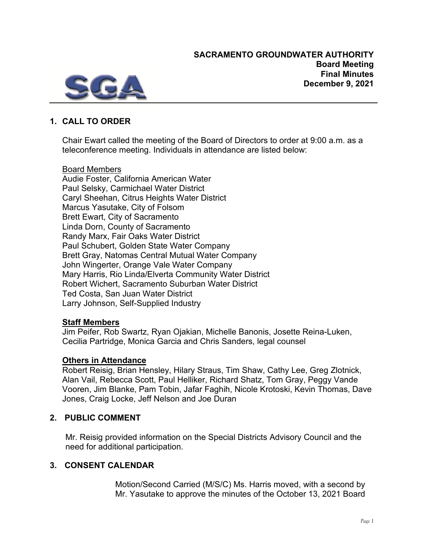

# **1. CALL TO ORDER**

Chair Ewart called the meeting of the Board of Directors to order at 9:00 a.m. as a teleconference meeting. Individuals in attendance are listed below:

## Board Members

Audie Foster, California American Water Paul Selsky, Carmichael Water District Caryl Sheehan, Citrus Heights Water District Marcus Yasutake, City of Folsom Brett Ewart, City of Sacramento Linda Dorn, County of Sacramento Randy Marx, Fair Oaks Water District Paul Schubert, Golden State Water Company Brett Gray, Natomas Central Mutual Water Company John Wingerter, Orange Vale Water Company Mary Harris, Rio Linda/Elverta Community Water District Robert Wichert, Sacramento Suburban Water District Ted Costa, San Juan Water District Larry Johnson, Self-Supplied Industry

### **Staff Members**

Jim Peifer, Rob Swartz, Ryan Ojakian, Michelle Banonis, Josette Reina-Luken, Cecilia Partridge, Monica Garcia and Chris Sanders, legal counsel

### **Others in Attendance**

Robert Reisig, Brian Hensley, Hilary Straus, Tim Shaw, Cathy Lee, Greg Zlotnick, Alan Vail, Rebecca Scott, Paul Helliker, Richard Shatz, Tom Gray, Peggy Vande Vooren, Jim Blanke, Pam Tobin, Jafar Faghih, Nicole Krotoski, Kevin Thomas, Dave Jones, Craig Locke, Jeff Nelson and Joe Duran

## **2. PUBLIC COMMENT**

Mr. Reisig provided information on the Special Districts Advisory Council and the need for additional participation.

## **3. CONSENT CALENDAR**

Motion/Second Carried (M/S/C) Ms. Harris moved, with a second by Mr. Yasutake to approve the minutes of the October 13, 2021 Board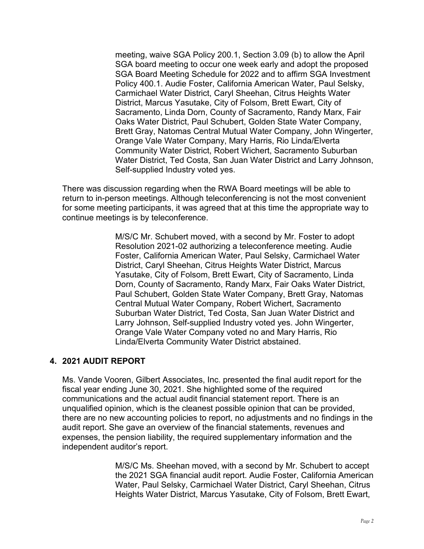meeting, waive SGA Policy 200.1, Section 3.09 (b) to allow the April SGA board meeting to occur one week early and adopt the proposed SGA Board Meeting Schedule for 2022 and to affirm SGA Investment Policy 400.1. Audie Foster, California American Water, Paul Selsky, Carmichael Water District, Caryl Sheehan, Citrus Heights Water District, Marcus Yasutake, City of Folsom, Brett Ewart, City of Sacramento, Linda Dorn, County of Sacramento, Randy Marx, Fair Oaks Water District, Paul Schubert, Golden State Water Company, Brett Gray, Natomas Central Mutual Water Company, John Wingerter, Orange Vale Water Company, Mary Harris, Rio Linda/Elverta Community Water District, Robert Wichert, Sacramento Suburban Water District, Ted Costa, San Juan Water District and Larry Johnson, Self-supplied Industry voted yes.

There was discussion regarding when the RWA Board meetings will be able to return to in-person meetings. Although teleconferencing is not the most convenient for some meeting participants, it was agreed that at this time the appropriate way to continue meetings is by teleconference.

> M/S/C Mr. Schubert moved, with a second by Mr. Foster to adopt Resolution 2021-02 authorizing a teleconference meeting. Audie Foster, California American Water, Paul Selsky, Carmichael Water District, Caryl Sheehan, Citrus Heights Water District, Marcus Yasutake, City of Folsom, Brett Ewart, City of Sacramento, Linda Dorn, County of Sacramento, Randy Marx, Fair Oaks Water District, Paul Schubert, Golden State Water Company, Brett Gray, Natomas Central Mutual Water Company, Robert Wichert, Sacramento Suburban Water District, Ted Costa, San Juan Water District and Larry Johnson, Self-supplied Industry voted yes. John Wingerter, Orange Vale Water Company voted no and Mary Harris, Rio Linda/Elverta Community Water District abstained.

### **4. 2021 AUDIT REPORT**

Ms. Vande Vooren, Gilbert Associates, Inc. presented the final audit report for the fiscal year ending June 30, 2021. She highlighted some of the required communications and the actual audit financial statement report. There is an unqualified opinion, which is the cleanest possible opinion that can be provided, there are no new accounting policies to report, no adjustments and no findings in the audit report. She gave an overview of the financial statements, revenues and expenses, the pension liability, the required supplementary information and the independent auditor's report.

> M/S/C Ms. Sheehan moved, with a second by Mr. Schubert to accept the 2021 SGA financial audit report. Audie Foster, California American Water, Paul Selsky, Carmichael Water District, Caryl Sheehan, Citrus Heights Water District, Marcus Yasutake, City of Folsom, Brett Ewart,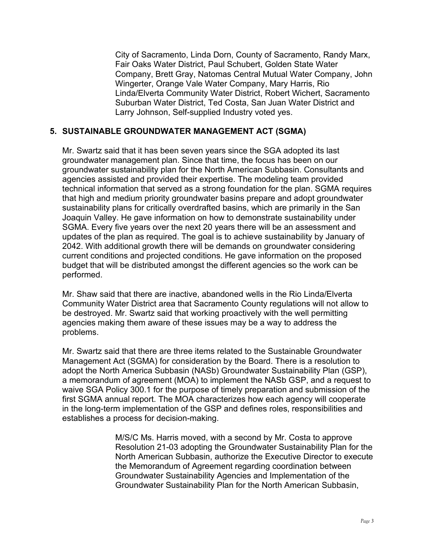City of Sacramento, Linda Dorn, County of Sacramento, Randy Marx, Fair Oaks Water District, Paul Schubert, Golden State Water Company, Brett Gray, Natomas Central Mutual Water Company, John Wingerter, Orange Vale Water Company, Mary Harris, Rio Linda/Elverta Community Water District, Robert Wichert, Sacramento Suburban Water District, Ted Costa, San Juan Water District and Larry Johnson, Self-supplied Industry voted yes.

## **5. SUSTAINABLE GROUNDWATER MANAGEMENT ACT (SGMA)**

Mr. Swartz said that it has been seven years since the SGA adopted its last groundwater management plan. Since that time, the focus has been on our groundwater sustainability plan for the North American Subbasin. Consultants and agencies assisted and provided their expertise. The modeling team provided technical information that served as a strong foundation for the plan. SGMA requires that high and medium priority groundwater basins prepare and adopt groundwater sustainability plans for critically overdrafted basins, which are primarily in the San Joaquin Valley. He gave information on how to demonstrate sustainability under SGMA. Every five years over the next 20 years there will be an assessment and updates of the plan as required. The goal is to achieve sustainability by January of 2042. With additional growth there will be demands on groundwater considering current conditions and projected conditions. He gave information on the proposed budget that will be distributed amongst the different agencies so the work can be performed.

Mr. Shaw said that there are inactive, abandoned wells in the Rio Linda/Elverta Community Water District area that Sacramento County regulations will not allow to be destroyed. Mr. Swartz said that working proactively with the well permitting agencies making them aware of these issues may be a way to address the problems.

Mr. Swartz said that there are three items related to the Sustainable Groundwater Management Act (SGMA) for consideration by the Board. There is a resolution to adopt the North America Subbasin (NASb) Groundwater Sustainability Plan (GSP), a memorandum of agreement (MOA) to implement the NASb GSP, and a request to waive SGA Policy 300.1 for the purpose of timely preparation and submission of the first SGMA annual report. The MOA characterizes how each agency will cooperate in the long-term implementation of the GSP and defines roles, responsibilities and establishes a process for decision-making.

> M/S/C Ms. Harris moved, with a second by Mr. Costa to approve Resolution 21-03 adopting the Groundwater Sustainability Plan for the North American Subbasin, authorize the Executive Director to execute the Memorandum of Agreement regarding coordination between Groundwater Sustainability Agencies and Implementation of the Groundwater Sustainability Plan for the North American Subbasin,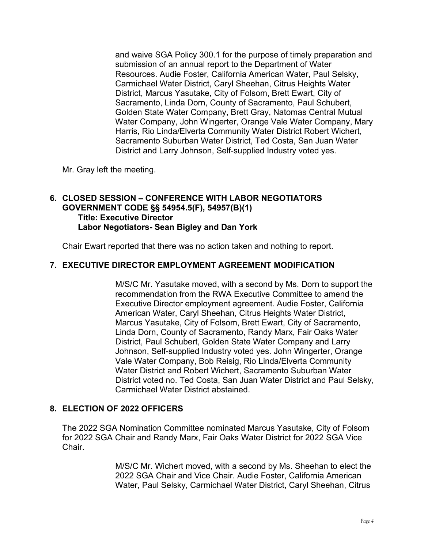and waive SGA Policy 300.1 for the purpose of timely preparation and submission of an annual report to the Department of Water Resources. Audie Foster, California American Water, Paul Selsky, Carmichael Water District, Caryl Sheehan, Citrus Heights Water District, Marcus Yasutake, City of Folsom, Brett Ewart, City of Sacramento, Linda Dorn, County of Sacramento, Paul Schubert, Golden State Water Company, Brett Gray, Natomas Central Mutual Water Company, John Wingerter, Orange Vale Water Company, Mary Harris, Rio Linda/Elverta Community Water District Robert Wichert, Sacramento Suburban Water District, Ted Costa, San Juan Water District and Larry Johnson, Self-supplied Industry voted yes.

Mr. Gray left the meeting.

### **6. CLOSED SESSION – CONFERENCE WITH LABOR NEGOTIATORS GOVERNMENT CODE §§ 54954.5(F), 54957(B)(1) Title: Executive Director Labor Negotiators- Sean Bigley and Dan York**

Chair Ewart reported that there was no action taken and nothing to report.

## **7. EXECUTIVE DIRECTOR EMPLOYMENT AGREEMENT MODIFICATION**

M/S/C Mr. Yasutake moved, with a second by Ms. Dorn to support the recommendation from the RWA Executive Committee to amend the Executive Director employment agreement. Audie Foster, California American Water, Caryl Sheehan, Citrus Heights Water District, Marcus Yasutake, City of Folsom, Brett Ewart, City of Sacramento, Linda Dorn, County of Sacramento, Randy Marx, Fair Oaks Water District, Paul Schubert, Golden State Water Company and Larry Johnson, Self-supplied Industry voted yes. John Wingerter, Orange Vale Water Company, Bob Reisig, Rio Linda/Elverta Community Water District and Robert Wichert, Sacramento Suburban Water District voted no. Ted Costa, San Juan Water District and Paul Selsky, Carmichael Water District abstained.

### **8. ELECTION OF 2022 OFFICERS**

The 2022 SGA Nomination Committee nominated Marcus Yasutake, City of Folsom for 2022 SGA Chair and Randy Marx, Fair Oaks Water District for 2022 SGA Vice **Chair** 

> M/S/C Mr. Wichert moved, with a second by Ms. Sheehan to elect the 2022 SGA Chair and Vice Chair. Audie Foster, California American Water, Paul Selsky, Carmichael Water District, Caryl Sheehan, Citrus